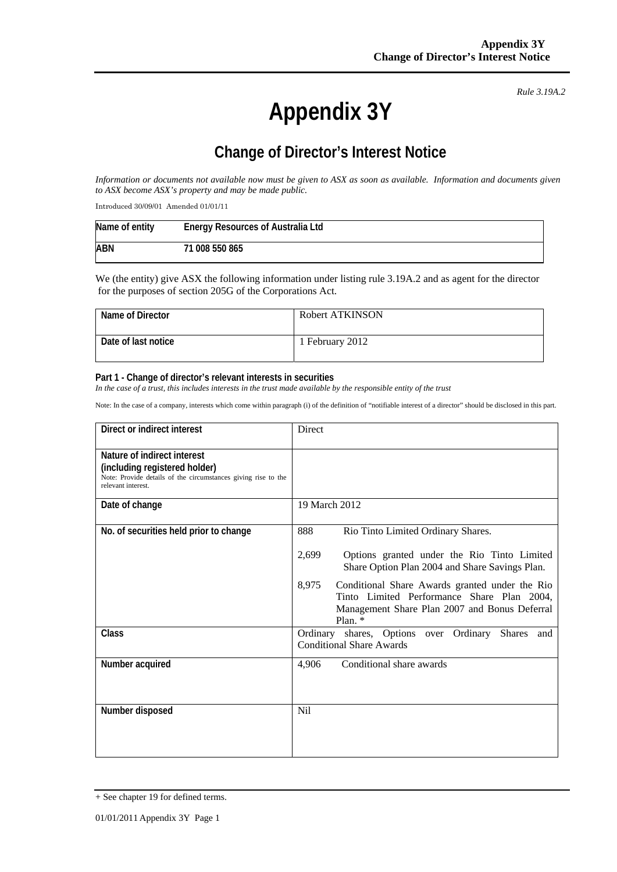# **Appendix 3Y**

*Rule 3.19A.2*

## **Change of Director's Interest Notice**

*Information or documents not available now must be given to ASX as soon as available. Information and documents given to ASX become ASX's property and may be made public.* 

Introduced 30/09/01 Amended 01/01/11

| Name of entity | Energy Resources of Australia Ltd |
|----------------|-----------------------------------|
| <b>ABN</b>     | 71 008 550 865                    |

We (the entity) give ASX the following information under listing rule 3.19A.2 and as agent for the director for the purposes of section 205G of the Corporations Act.

| Name of Director    | Robert ATKINSON |
|---------------------|-----------------|
| Date of last notice | l February 2012 |

#### **Part 1 - Change of director's relevant interests in securities**

*In the case of a trust, this includes interests in the trust made available by the responsible entity of the trust* 

Note: In the case of a company, interests which come within paragraph (i) of the definition of "notifiable interest of a director" should be disclosed in this part.

| Direct or indirect interest                                                                                                                         | Direct                                                                                                                                                              |
|-----------------------------------------------------------------------------------------------------------------------------------------------------|---------------------------------------------------------------------------------------------------------------------------------------------------------------------|
| Nature of indirect interest<br>(including registered holder)<br>Note: Provide details of the circumstances giving rise to the<br>relevant interest. |                                                                                                                                                                     |
| Date of change                                                                                                                                      | 19 March 2012                                                                                                                                                       |
| No. of securities held prior to change                                                                                                              | 888<br>Rio Tinto Limited Ordinary Shares.                                                                                                                           |
|                                                                                                                                                     | 2,699<br>Options granted under the Rio Tinto Limited<br>Share Option Plan 2004 and Share Savings Plan.                                                              |
|                                                                                                                                                     | 8,975<br>Conditional Share Awards granted under the Rio<br>Tinto Limited Performance Share Plan 2004,<br>Management Share Plan 2007 and Bonus Deferral<br>Plan. $*$ |
| Class                                                                                                                                               | Ordinary shares, Options over Ordinary<br><b>Shares</b><br>and<br><b>Conditional Share Awards</b>                                                                   |
| Number acquired                                                                                                                                     | Conditional share awards<br>4,906                                                                                                                                   |
| Number disposed                                                                                                                                     | <b>Nil</b>                                                                                                                                                          |

<sup>+</sup> See chapter 19 for defined terms.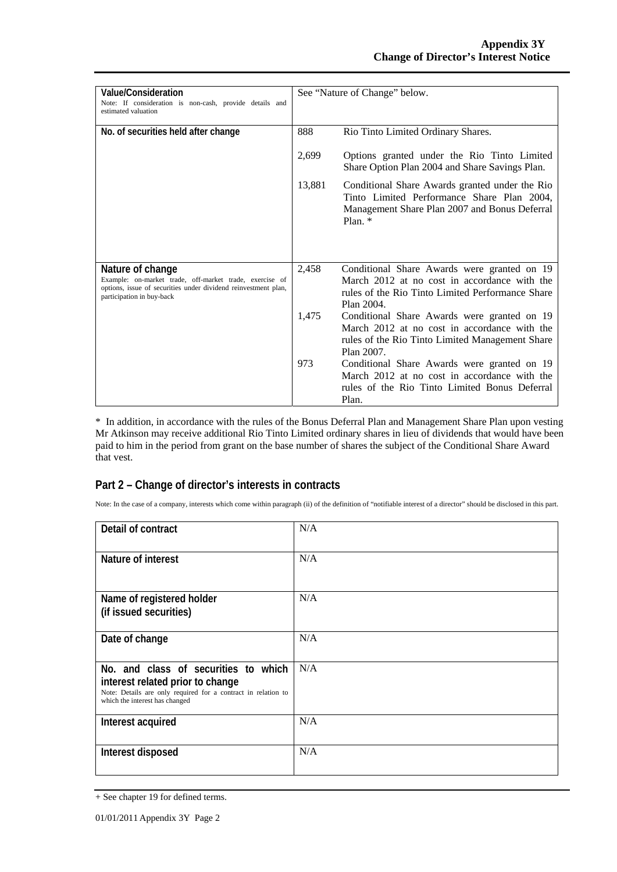| Value/Consideration<br>Note: If consideration is non-cash, provide details and<br>estimated valuation                                                                      |        | See "Nature of Change" below.                                                                                                                                 |
|----------------------------------------------------------------------------------------------------------------------------------------------------------------------------|--------|---------------------------------------------------------------------------------------------------------------------------------------------------------------|
| No. of securities held after change                                                                                                                                        | 888    | Rio Tinto Limited Ordinary Shares.                                                                                                                            |
|                                                                                                                                                                            | 2,699  | Options granted under the Rio Tinto Limited<br>Share Option Plan 2004 and Share Savings Plan.                                                                 |
|                                                                                                                                                                            | 13,881 | Conditional Share Awards granted under the Rio<br>Tinto Limited Performance Share Plan 2004,<br>Management Share Plan 2007 and Bonus Deferral<br>Plan. $*$    |
|                                                                                                                                                                            |        |                                                                                                                                                               |
| Nature of change<br>Example: on-market trade, off-market trade, exercise of<br>options, issue of securities under dividend reinvestment plan,<br>participation in buy-back | 2,458  | Conditional Share Awards were granted on 19<br>March 2012 at no cost in accordance with the<br>rules of the Rio Tinto Limited Performance Share<br>Plan 2004. |
|                                                                                                                                                                            | 1,475  | Conditional Share Awards were granted on 19<br>March 2012 at no cost in accordance with the<br>rules of the Rio Tinto Limited Management Share<br>Plan 2007.  |
|                                                                                                                                                                            | 973    | Conditional Share Awards were granted on 19<br>March 2012 at no cost in accordance with the<br>rules of the Rio Tinto Limited Bonus Deferral<br>Plan.         |

\* In addition, in accordance with the rules of the Bonus Deferral Plan and Management Share Plan upon vesting Mr Atkinson may receive additional Rio Tinto Limited ordinary shares in lieu of dividends that would have been paid to him in the period from grant on the base number of shares the subject of the Conditional Share Award that vest.

### **Part 2 – Change of director's interests in contracts**

Note: In the case of a company, interests which come within paragraph (ii) of the definition of "notifiable interest of a director" should be disclosed in this part.

| Detail of contract                                                                                                                                                          | N/A |
|-----------------------------------------------------------------------------------------------------------------------------------------------------------------------------|-----|
| Nature of interest                                                                                                                                                          | N/A |
| Name of registered holder<br>(if issued securities)                                                                                                                         | N/A |
| Date of change                                                                                                                                                              | N/A |
| No, and class of securities to which<br>interest related prior to change<br>Note: Details are only required for a contract in relation to<br>which the interest has changed | N/A |
| Interest acquired                                                                                                                                                           | N/A |
| Interest disposed                                                                                                                                                           | N/A |

<sup>+</sup> See chapter 19 for defined terms.